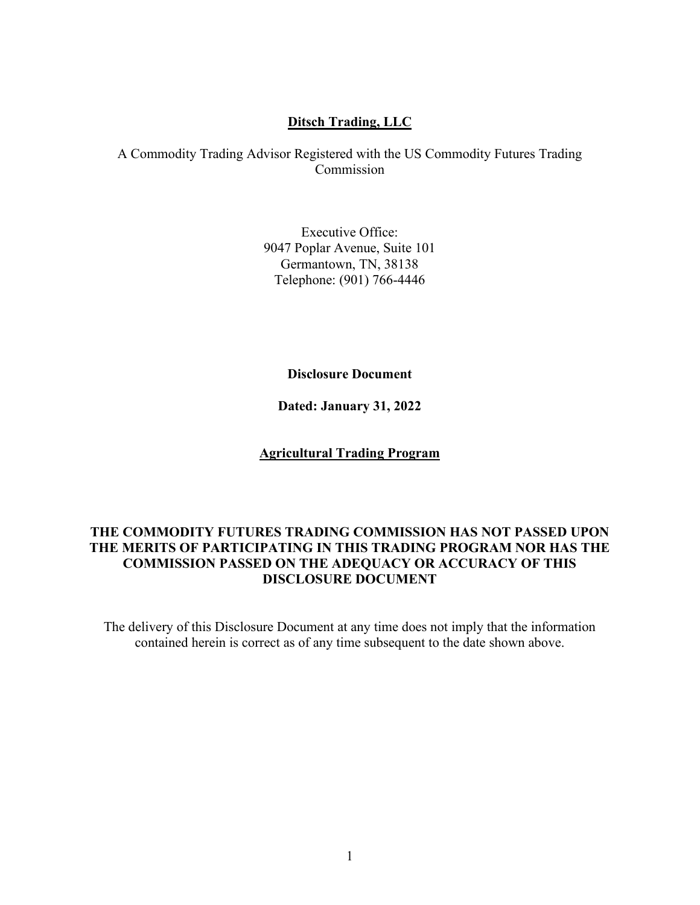## **Ditsch Trading, LLC**

A Commodity Trading Advisor Registered with the US Commodity Futures Trading Commission

> Executive Office: 9047 Poplar Avenue, Suite 101 Germantown, TN, 38138 Telephone: (901) 766-4446

### **Disclosure Document**

**Dated: January 31, 2022**

## **Agricultural Trading Program**

## **THE COMMODITY FUTURES TRADING COMMISSION HAS NOT PASSED UPON THE MERITS OF PARTICIPATING IN THIS TRADING PROGRAM NOR HAS THE COMMISSION PASSED ON THE ADEQUACY OR ACCURACY OF THIS DISCLOSURE DOCUMENT**

The delivery of this Disclosure Document at any time does not imply that the information contained herein is correct as of any time subsequent to the date shown above.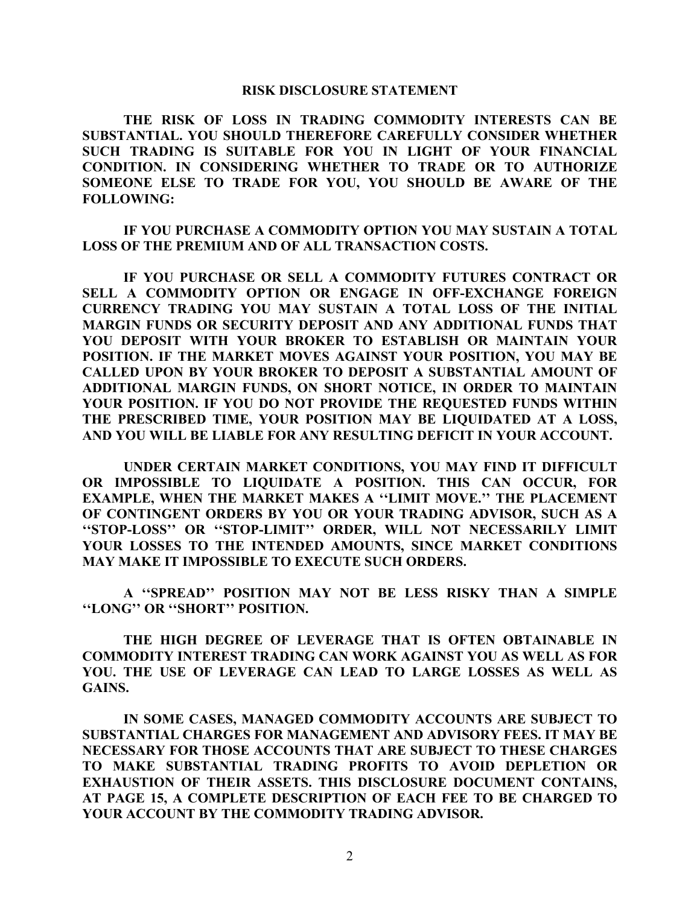#### **RISK DISCLOSURE STATEMENT**

**THE RISK OF LOSS IN TRADING COMMODITY INTERESTS CAN BE SUBSTANTIAL. YOU SHOULD THEREFORE CAREFULLY CONSIDER WHETHER SUCH TRADING IS SUITABLE FOR YOU IN LIGHT OF YOUR FINANCIAL CONDITION. IN CONSIDERING WHETHER TO TRADE OR TO AUTHORIZE SOMEONE ELSE TO TRADE FOR YOU, YOU SHOULD BE AWARE OF THE FOLLOWING:**

**IF YOU PURCHASE A COMMODITY OPTION YOU MAY SUSTAIN A TOTAL LOSS OF THE PREMIUM AND OF ALL TRANSACTION COSTS.**

**IF YOU PURCHASE OR SELL A COMMODITY FUTURES CONTRACT OR SELL A COMMODITY OPTION OR ENGAGE IN OFF-EXCHANGE FOREIGN CURRENCY TRADING YOU MAY SUSTAIN A TOTAL LOSS OF THE INITIAL MARGIN FUNDS OR SECURITY DEPOSIT AND ANY ADDITIONAL FUNDS THAT YOU DEPOSIT WITH YOUR BROKER TO ESTABLISH OR MAINTAIN YOUR POSITION. IF THE MARKET MOVES AGAINST YOUR POSITION, YOU MAY BE CALLED UPON BY YOUR BROKER TO DEPOSIT A SUBSTANTIAL AMOUNT OF ADDITIONAL MARGIN FUNDS, ON SHORT NOTICE, IN ORDER TO MAINTAIN YOUR POSITION. IF YOU DO NOT PROVIDE THE REQUESTED FUNDS WITHIN THE PRESCRIBED TIME, YOUR POSITION MAY BE LIQUIDATED AT A LOSS, AND YOU WILL BE LIABLE FOR ANY RESULTING DEFICIT IN YOUR ACCOUNT.**

**UNDER CERTAIN MARKET CONDITIONS, YOU MAY FIND IT DIFFICULT OR IMPOSSIBLE TO LIQUIDATE A POSITION. THIS CAN OCCUR, FOR EXAMPLE, WHEN THE MARKET MAKES A ''LIMIT MOVE.'' THE PLACEMENT OF CONTINGENT ORDERS BY YOU OR YOUR TRADING ADVISOR, SUCH AS A ''STOP-LOSS'' OR ''STOP-LIMIT'' ORDER, WILL NOT NECESSARILY LIMIT YOUR LOSSES TO THE INTENDED AMOUNTS, SINCE MARKET CONDITIONS MAY MAKE IT IMPOSSIBLE TO EXECUTE SUCH ORDERS.**

**A ''SPREAD'' POSITION MAY NOT BE LESS RISKY THAN A SIMPLE ''LONG'' OR ''SHORT'' POSITION.**

**THE HIGH DEGREE OF LEVERAGE THAT IS OFTEN OBTAINABLE IN COMMODITY INTEREST TRADING CAN WORK AGAINST YOU AS WELL AS FOR YOU. THE USE OF LEVERAGE CAN LEAD TO LARGE LOSSES AS WELL AS GAINS.**

**IN SOME CASES, MANAGED COMMODITY ACCOUNTS ARE SUBJECT TO SUBSTANTIAL CHARGES FOR MANAGEMENT AND ADVISORY FEES. IT MAY BE NECESSARY FOR THOSE ACCOUNTS THAT ARE SUBJECT TO THESE CHARGES TO MAKE SUBSTANTIAL TRADING PROFITS TO AVOID DEPLETION OR EXHAUSTION OF THEIR ASSETS. THIS DISCLOSURE DOCUMENT CONTAINS, AT PAGE 15, A COMPLETE DESCRIPTION OF EACH FEE TO BE CHARGED TO YOUR ACCOUNT BY THE COMMODITY TRADING ADVISOR.**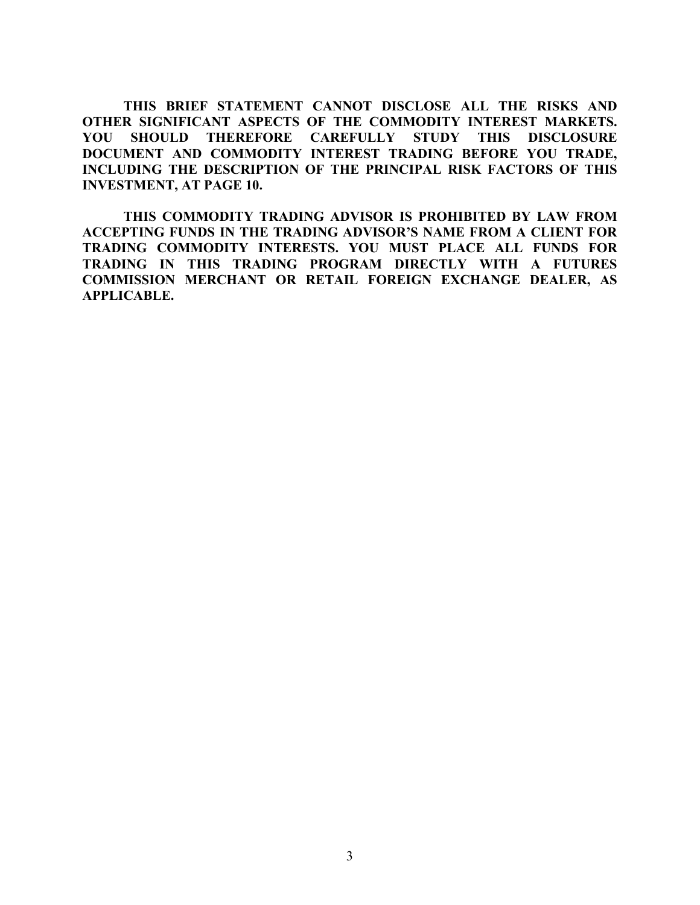**THIS BRIEF STATEMENT CANNOT DISCLOSE ALL THE RISKS AND OTHER SIGNIFICANT ASPECTS OF THE COMMODITY INTEREST MARKETS. YOU SHOULD THEREFORE CAREFULLY STUDY THIS DISCLOSURE DOCUMENT AND COMMODITY INTEREST TRADING BEFORE YOU TRADE, INCLUDING THE DESCRIPTION OF THE PRINCIPAL RISK FACTORS OF THIS INVESTMENT, AT PAGE 10.**

**THIS COMMODITY TRADING ADVISOR IS PROHIBITED BY LAW FROM ACCEPTING FUNDS IN THE TRADING ADVISOR'S NAME FROM A CLIENT FOR TRADING COMMODITY INTERESTS. YOU MUST PLACE ALL FUNDS FOR TRADING IN THIS TRADING PROGRAM DIRECTLY WITH A FUTURES COMMISSION MERCHANT OR RETAIL FOREIGN EXCHANGE DEALER, AS APPLICABLE.**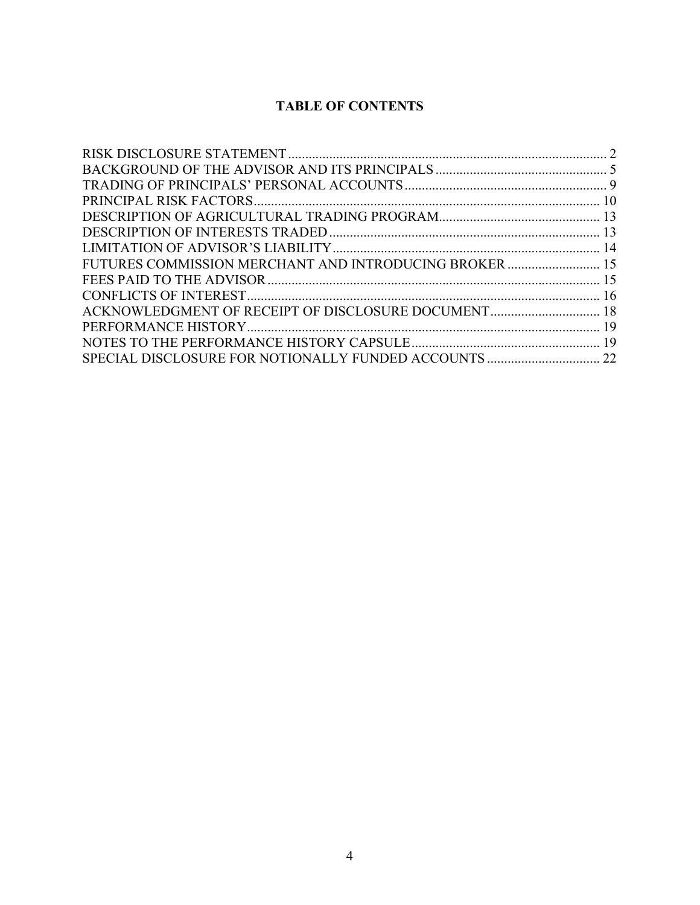# **TABLE OF CONTENTS**

| FUTURES COMMISSION MERCHANT AND INTRODUCING BROKER 15 |  |
|-------------------------------------------------------|--|
|                                                       |  |
|                                                       |  |
| ACKNOWLEDGMENT OF RECEIPT OF DISCLOSURE DOCUMENT 18   |  |
|                                                       |  |
|                                                       |  |
|                                                       |  |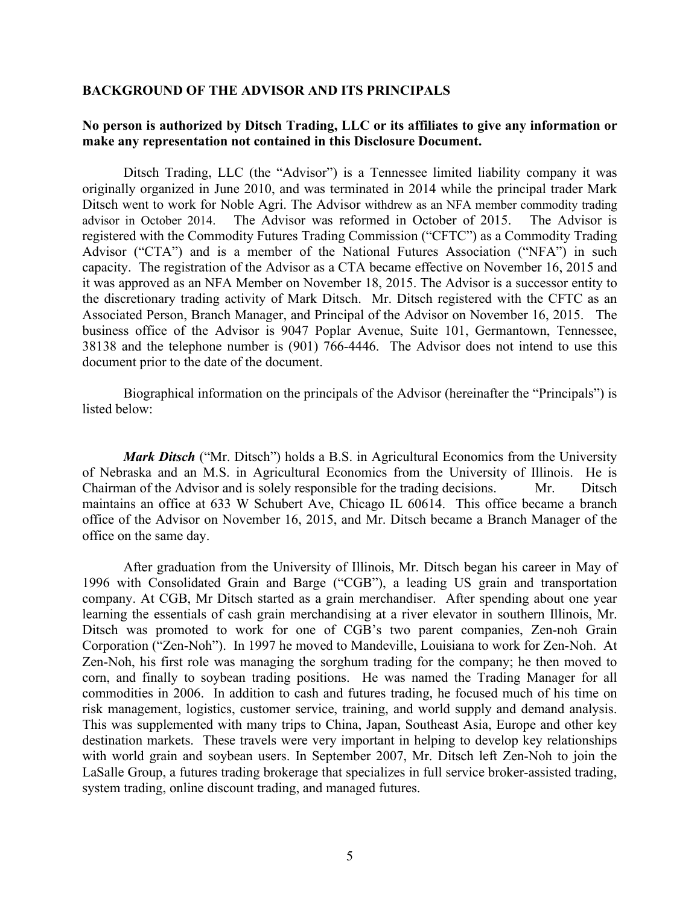#### **BACKGROUND OF THE ADVISOR AND ITS PRINCIPALS**

## **No person is authorized by Ditsch Trading, LLC or its affiliates to give any information or make any representation not contained in this Disclosure Document.**

Ditsch Trading, LLC (the "Advisor") is a Tennessee limited liability company it was originally organized in June 2010, and was terminated in 2014 while the principal trader Mark Ditsch went to work for Noble Agri. The Advisor withdrew as an NFA member commodity trading advisor in October 2014. The Advisor was reformed in October of 2015. The Advisor is registered with the Commodity Futures Trading Commission ("CFTC") as a Commodity Trading Advisor ("CTA") and is a member of the National Futures Association ("NFA") in such capacity. The registration of the Advisor as a CTA became effective on November 16, 2015 and it was approved as an NFA Member on November 18, 2015. The Advisor is a successor entity to the discretionary trading activity of Mark Ditsch. Mr. Ditsch registered with the CFTC as an Associated Person, Branch Manager, and Principal of the Advisor on November 16, 2015. The business office of the Advisor is 9047 Poplar Avenue, Suite 101, Germantown, Tennessee, 38138 and the telephone number is (901) 766-4446. The Advisor does not intend to use this document prior to the date of the document.

Biographical information on the principals of the Advisor (hereinafter the "Principals") is listed below:

*Mark Ditsch* ("Mr. Ditsch") holds a B.S. in Agricultural Economics from the University of Nebraska and an M.S. in Agricultural Economics from the University of Illinois. He is Chairman of the Advisor and is solely responsible for the trading decisions. Mr. Ditsch maintains an office at 633 W Schubert Ave, Chicago IL 60614. This office became a branch office of the Advisor on November 16, 2015, and Mr. Ditsch became a Branch Manager of the office on the same day.

After graduation from the University of Illinois, Mr. Ditsch began his career in May of 1996 with Consolidated Grain and Barge ("CGB"), a leading US grain and transportation company. At CGB, Mr Ditsch started as a grain merchandiser. After spending about one year learning the essentials of cash grain merchandising at a river elevator in southern Illinois, Mr. Ditsch was promoted to work for one of CGB's two parent companies, Zen-noh Grain Corporation ("Zen-Noh"). In 1997 he moved to Mandeville, Louisiana to work for Zen-Noh. At Zen-Noh, his first role was managing the sorghum trading for the company; he then moved to corn, and finally to soybean trading positions. He was named the Trading Manager for all commodities in 2006. In addition to cash and futures trading, he focused much of his time on risk management, logistics, customer service, training, and world supply and demand analysis. This was supplemented with many trips to China, Japan, Southeast Asia, Europe and other key destination markets. These travels were very important in helping to develop key relationships with world grain and soybean users. In September 2007, Mr. Ditsch left Zen-Noh to join the LaSalle Group, a futures trading brokerage that specializes in full service broker-assisted trading, system trading, online discount trading, and managed futures.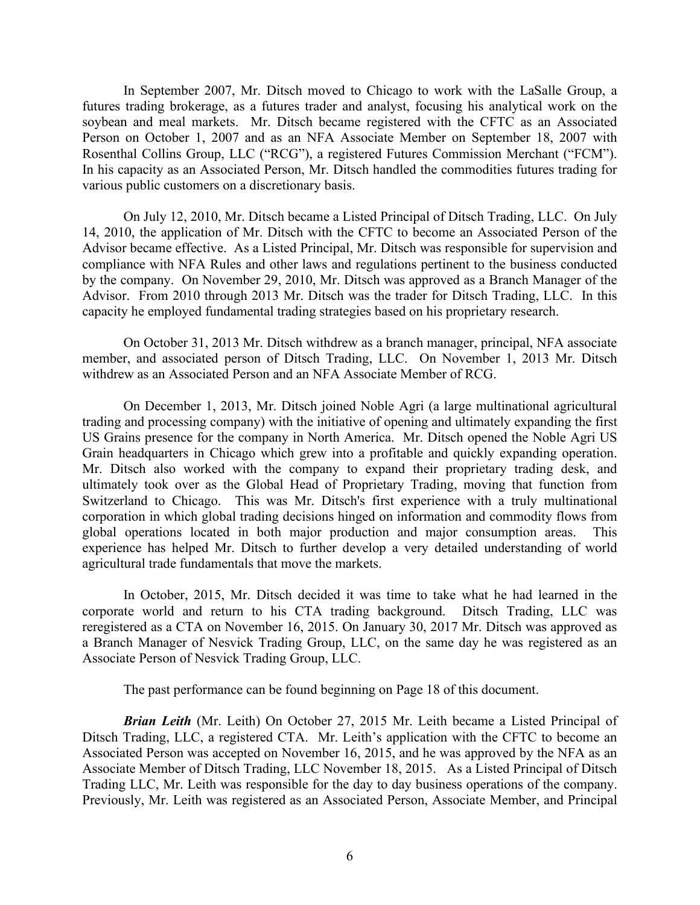In September 2007, Mr. Ditsch moved to Chicago to work with the LaSalle Group, a futures trading brokerage, as a futures trader and analyst, focusing his analytical work on the soybean and meal markets. Mr. Ditsch became registered with the CFTC as an Associated Person on October 1, 2007 and as an NFA Associate Member on September 18, 2007 with Rosenthal Collins Group, LLC ("RCG"), a registered Futures Commission Merchant ("FCM"). In his capacity as an Associated Person, Mr. Ditsch handled the commodities futures trading for various public customers on a discretionary basis.

On July 12, 2010, Mr. Ditsch became a Listed Principal of Ditsch Trading, LLC. On July 14, 2010, the application of Mr. Ditsch with the CFTC to become an Associated Person of the Advisor became effective. As a Listed Principal, Mr. Ditsch was responsible for supervision and compliance with NFA Rules and other laws and regulations pertinent to the business conducted by the company. On November 29, 2010, Mr. Ditsch was approved as a Branch Manager of the Advisor. From 2010 through 2013 Mr. Ditsch was the trader for Ditsch Trading, LLC. In this capacity he employed fundamental trading strategies based on his proprietary research.

On October 31, 2013 Mr. Ditsch withdrew as a branch manager, principal, NFA associate member, and associated person of Ditsch Trading, LLC. On November 1, 2013 Mr. Ditsch withdrew as an Associated Person and an NFA Associate Member of RCG.

On December 1, 2013, Mr. Ditsch joined Noble Agri (a large multinational agricultural trading and processing company) with the initiative of opening and ultimately expanding the first US Grains presence for the company in North America. Mr. Ditsch opened the Noble Agri US Grain headquarters in Chicago which grew into a profitable and quickly expanding operation. Mr. Ditsch also worked with the company to expand their proprietary trading desk, and ultimately took over as the Global Head of Proprietary Trading, moving that function from Switzerland to Chicago. This was Mr. Ditsch's first experience with a truly multinational corporation in which global trading decisions hinged on information and commodity flows from global operations located in both major production and major consumption areas. This experience has helped Mr. Ditsch to further develop a very detailed understanding of world agricultural trade fundamentals that move the markets.

In October, 2015, Mr. Ditsch decided it was time to take what he had learned in the corporate world and return to his CTA trading background. Ditsch Trading, LLC was reregistered as a CTA on November 16, 2015. On January 30, 2017 Mr. Ditsch was approved as a Branch Manager of Nesvick Trading Group, LLC, on the same day he was registered as an Associate Person of Nesvick Trading Group, LLC.

The past performance can be found beginning on Page 18 of this document.

*Brian Leith* (Mr. Leith) On October 27, 2015 Mr. Leith became a Listed Principal of Ditsch Trading, LLC, a registered CTA. Mr. Leith's application with the CFTC to become an Associated Person was accepted on November 16, 2015, and he was approved by the NFA as an Associate Member of Ditsch Trading, LLC November 18, 2015. As a Listed Principal of Ditsch Trading LLC, Mr. Leith was responsible for the day to day business operations of the company. Previously, Mr. Leith was registered as an Associated Person, Associate Member, and Principal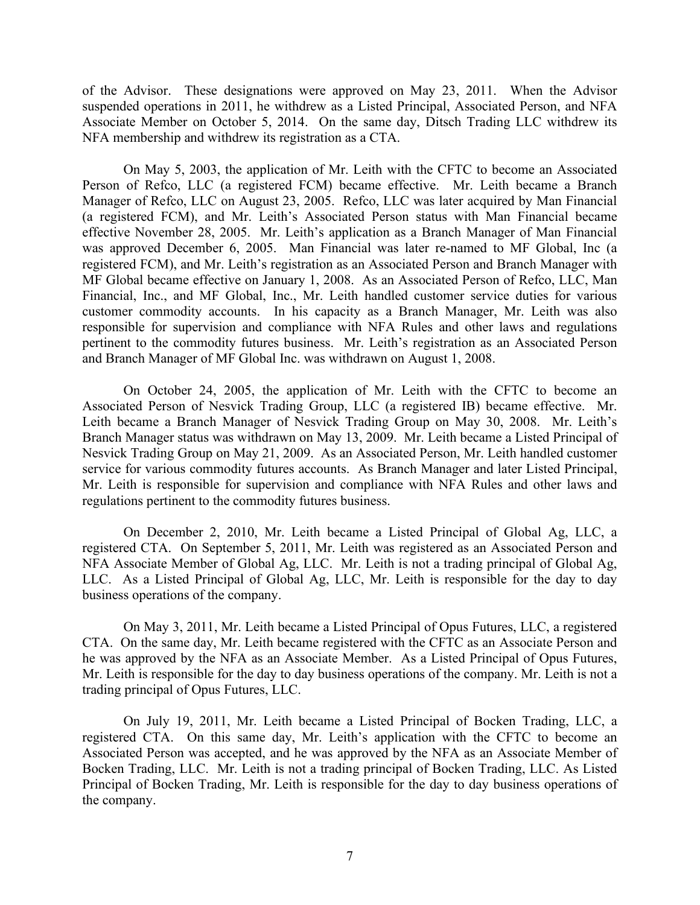of the Advisor. These designations were approved on May 23, 2011. When the Advisor suspended operations in 2011, he withdrew as a Listed Principal, Associated Person, and NFA Associate Member on October 5, 2014. On the same day, Ditsch Trading LLC withdrew its NFA membership and withdrew its registration as a CTA.

On May 5, 2003, the application of Mr. Leith with the CFTC to become an Associated Person of Refco, LLC (a registered FCM) became effective. Mr. Leith became a Branch Manager of Refco, LLC on August 23, 2005. Refco, LLC was later acquired by Man Financial (a registered FCM), and Mr. Leith's Associated Person status with Man Financial became effective November 28, 2005. Mr. Leith's application as a Branch Manager of Man Financial was approved December 6, 2005. Man Financial was later re-named to MF Global, Inc (a registered FCM), and Mr. Leith's registration as an Associated Person and Branch Manager with MF Global became effective on January 1, 2008. As an Associated Person of Refco, LLC, Man Financial, Inc., and MF Global, Inc., Mr. Leith handled customer service duties for various customer commodity accounts. In his capacity as a Branch Manager, Mr. Leith was also responsible for supervision and compliance with NFA Rules and other laws and regulations pertinent to the commodity futures business. Mr. Leith's registration as an Associated Person and Branch Manager of MF Global Inc. was withdrawn on August 1, 2008.

On October 24, 2005, the application of Mr. Leith with the CFTC to become an Associated Person of Nesvick Trading Group, LLC (a registered IB) became effective. Mr. Leith became a Branch Manager of Nesvick Trading Group on May 30, 2008. Mr. Leith's Branch Manager status was withdrawn on May 13, 2009. Mr. Leith became a Listed Principal of Nesvick Trading Group on May 21, 2009. As an Associated Person, Mr. Leith handled customer service for various commodity futures accounts. As Branch Manager and later Listed Principal, Mr. Leith is responsible for supervision and compliance with NFA Rules and other laws and regulations pertinent to the commodity futures business.

On December 2, 2010, Mr. Leith became a Listed Principal of Global Ag, LLC, a registered CTA. On September 5, 2011, Mr. Leith was registered as an Associated Person and NFA Associate Member of Global Ag, LLC. Mr. Leith is not a trading principal of Global Ag, LLC. As a Listed Principal of Global Ag, LLC, Mr. Leith is responsible for the day to day business operations of the company.

On May 3, 2011, Mr. Leith became a Listed Principal of Opus Futures, LLC, a registered CTA. On the same day, Mr. Leith became registered with the CFTC as an Associate Person and he was approved by the NFA as an Associate Member. As a Listed Principal of Opus Futures, Mr. Leith is responsible for the day to day business operations of the company. Mr. Leith is not a trading principal of Opus Futures, LLC.

On July 19, 2011, Mr. Leith became a Listed Principal of Bocken Trading, LLC, a registered CTA. On this same day, Mr. Leith's application with the CFTC to become an Associated Person was accepted, and he was approved by the NFA as an Associate Member of Bocken Trading, LLC. Mr. Leith is not a trading principal of Bocken Trading, LLC. As Listed Principal of Bocken Trading, Mr. Leith is responsible for the day to day business operations of the company.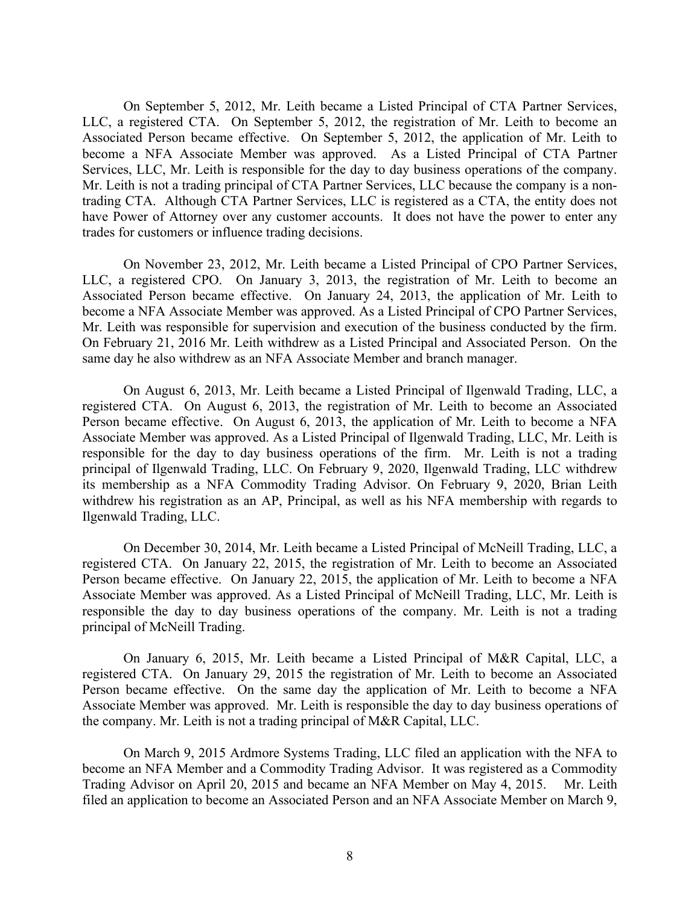On September 5, 2012, Mr. Leith became a Listed Principal of CTA Partner Services, LLC, a registered CTA. On September 5, 2012, the registration of Mr. Leith to become an Associated Person became effective. On September 5, 2012, the application of Mr. Leith to become a NFA Associate Member was approved. As a Listed Principal of CTA Partner Services, LLC, Mr. Leith is responsible for the day to day business operations of the company. Mr. Leith is not a trading principal of CTA Partner Services, LLC because the company is a nontrading CTA. Although CTA Partner Services, LLC is registered as a CTA, the entity does not have Power of Attorney over any customer accounts. It does not have the power to enter any trades for customers or influence trading decisions.

On November 23, 2012, Mr. Leith became a Listed Principal of CPO Partner Services, LLC, a registered CPO. On January 3, 2013, the registration of Mr. Leith to become an Associated Person became effective. On January 24, 2013, the application of Mr. Leith to become a NFA Associate Member was approved. As a Listed Principal of CPO Partner Services, Mr. Leith was responsible for supervision and execution of the business conducted by the firm. On February 21, 2016 Mr. Leith withdrew as a Listed Principal and Associated Person. On the same day he also withdrew as an NFA Associate Member and branch manager.

On August 6, 2013, Mr. Leith became a Listed Principal of Ilgenwald Trading, LLC, a registered CTA. On August 6, 2013, the registration of Mr. Leith to become an Associated Person became effective. On August 6, 2013, the application of Mr. Leith to become a NFA Associate Member was approved. As a Listed Principal of Ilgenwald Trading, LLC, Mr. Leith is responsible for the day to day business operations of the firm. Mr. Leith is not a trading principal of Ilgenwald Trading, LLC. On February 9, 2020, Ilgenwald Trading, LLC withdrew its membership as a NFA Commodity Trading Advisor. On February 9, 2020, Brian Leith withdrew his registration as an AP, Principal, as well as his NFA membership with regards to Ilgenwald Trading, LLC.

On December 30, 2014, Mr. Leith became a Listed Principal of McNeill Trading, LLC, a registered CTA. On January 22, 2015, the registration of Mr. Leith to become an Associated Person became effective. On January 22, 2015, the application of Mr. Leith to become a NFA Associate Member was approved. As a Listed Principal of McNeill Trading, LLC, Mr. Leith is responsible the day to day business operations of the company. Mr. Leith is not a trading principal of McNeill Trading.

On January 6, 2015, Mr. Leith became a Listed Principal of M&R Capital, LLC, a registered CTA. On January 29, 2015 the registration of Mr. Leith to become an Associated Person became effective. On the same day the application of Mr. Leith to become a NFA Associate Member was approved. Mr. Leith is responsible the day to day business operations of the company. Mr. Leith is not a trading principal of M&R Capital, LLC.

On March 9, 2015 Ardmore Systems Trading, LLC filed an application with the NFA to become an NFA Member and a Commodity Trading Advisor. It was registered as a Commodity Trading Advisor on April 20, 2015 and became an NFA Member on May 4, 2015. Mr. Leith filed an application to become an Associated Person and an NFA Associate Member on March 9,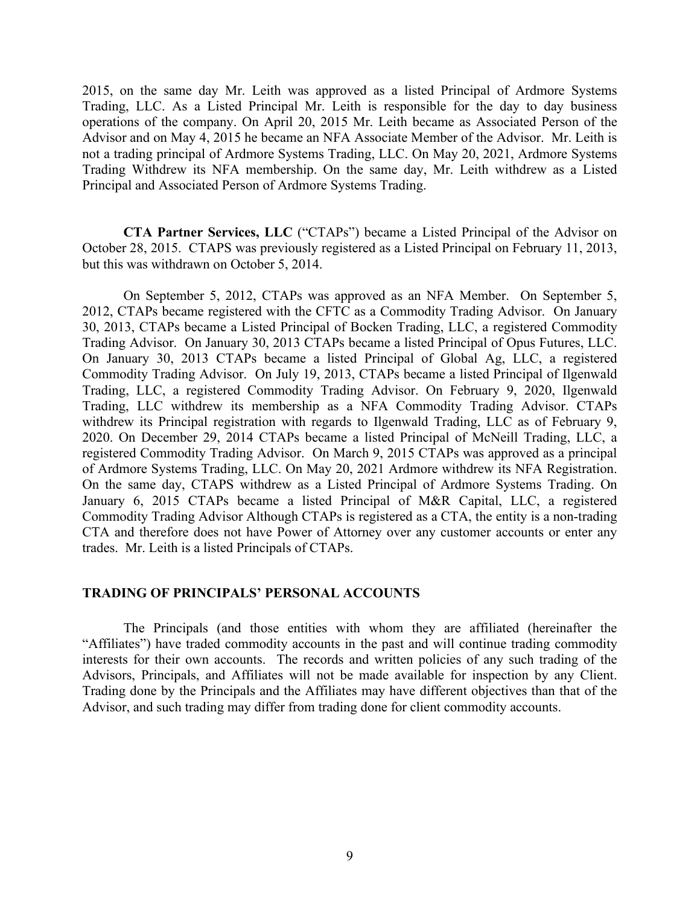2015, on the same day Mr. Leith was approved as a listed Principal of Ardmore Systems Trading, LLC. As a Listed Principal Mr. Leith is responsible for the day to day business operations of the company. On April 20, 2015 Mr. Leith became as Associated Person of the Advisor and on May 4, 2015 he became an NFA Associate Member of the Advisor. Mr. Leith is not a trading principal of Ardmore Systems Trading, LLC. On May 20, 2021, Ardmore Systems Trading Withdrew its NFA membership. On the same day, Mr. Leith withdrew as a Listed Principal and Associated Person of Ardmore Systems Trading.

**CTA Partner Services, LLC** ("CTAPs") became a Listed Principal of the Advisor on October 28, 2015. CTAPS was previously registered as a Listed Principal on February 11, 2013, but this was withdrawn on October 5, 2014.

On September 5, 2012, CTAPs was approved as an NFA Member. On September 5, 2012, CTAPs became registered with the CFTC as a Commodity Trading Advisor. On January 30, 2013, CTAPs became a Listed Principal of Bocken Trading, LLC, a registered Commodity Trading Advisor. On January 30, 2013 CTAPs became a listed Principal of Opus Futures, LLC. On January 30, 2013 CTAPs became a listed Principal of Global Ag, LLC, a registered Commodity Trading Advisor. On July 19, 2013, CTAPs became a listed Principal of Ilgenwald Trading, LLC, a registered Commodity Trading Advisor. On February 9, 2020, Ilgenwald Trading, LLC withdrew its membership as a NFA Commodity Trading Advisor. CTAPs withdrew its Principal registration with regards to Ilgenwald Trading, LLC as of February 9, 2020. On December 29, 2014 CTAPs became a listed Principal of McNeill Trading, LLC, a registered Commodity Trading Advisor. On March 9, 2015 CTAPs was approved as a principal of Ardmore Systems Trading, LLC. On May 20, 2021 Ardmore withdrew its NFA Registration. On the same day, CTAPS withdrew as a Listed Principal of Ardmore Systems Trading. On January 6, 2015 CTAPs became a listed Principal of M&R Capital, LLC, a registered Commodity Trading Advisor Although CTAPs is registered as a CTA, the entity is a non-trading CTA and therefore does not have Power of Attorney over any customer accounts or enter any trades. Mr. Leith is a listed Principals of CTAPs.

#### **TRADING OF PRINCIPALS' PERSONAL ACCOUNTS**

The Principals (and those entities with whom they are affiliated (hereinafter the "Affiliates") have traded commodity accounts in the past and will continue trading commodity interests for their own accounts. The records and written policies of any such trading of the Advisors, Principals, and Affiliates will not be made available for inspection by any Client. Trading done by the Principals and the Affiliates may have different objectives than that of the Advisor, and such trading may differ from trading done for client commodity accounts.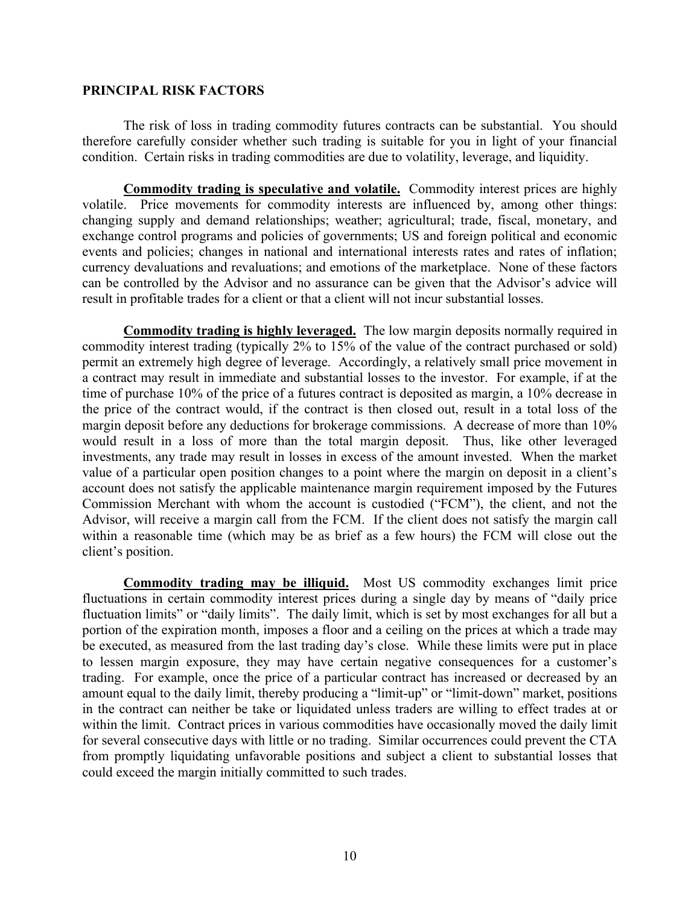#### **PRINCIPAL RISK FACTORS**

The risk of loss in trading commodity futures contracts can be substantial. You should therefore carefully consider whether such trading is suitable for you in light of your financial condition. Certain risks in trading commodities are due to volatility, leverage, and liquidity.

**Commodity trading is speculative and volatile.** Commodity interest prices are highly volatile. Price movements for commodity interests are influenced by, among other things: changing supply and demand relationships; weather; agricultural; trade, fiscal, monetary, and exchange control programs and policies of governments; US and foreign political and economic events and policies; changes in national and international interests rates and rates of inflation; currency devaluations and revaluations; and emotions of the marketplace. None of these factors can be controlled by the Advisor and no assurance can be given that the Advisor's advice will result in profitable trades for a client or that a client will not incur substantial losses.

**Commodity trading is highly leveraged.** The low margin deposits normally required in commodity interest trading (typically 2% to 15% of the value of the contract purchased or sold) permit an extremely high degree of leverage. Accordingly, a relatively small price movement in a contract may result in immediate and substantial losses to the investor. For example, if at the time of purchase 10% of the price of a futures contract is deposited as margin, a 10% decrease in the price of the contract would, if the contract is then closed out, result in a total loss of the margin deposit before any deductions for brokerage commissions. A decrease of more than 10% would result in a loss of more than the total margin deposit. Thus, like other leveraged investments, any trade may result in losses in excess of the amount invested. When the market value of a particular open position changes to a point where the margin on deposit in a client's account does not satisfy the applicable maintenance margin requirement imposed by the Futures Commission Merchant with whom the account is custodied ("FCM"), the client, and not the Advisor, will receive a margin call from the FCM. If the client does not satisfy the margin call within a reasonable time (which may be as brief as a few hours) the FCM will close out the client's position.

**Commodity trading may be illiquid.** Most US commodity exchanges limit price fluctuations in certain commodity interest prices during a single day by means of "daily price fluctuation limits" or "daily limits". The daily limit, which is set by most exchanges for all but a portion of the expiration month, imposes a floor and a ceiling on the prices at which a trade may be executed, as measured from the last trading day's close. While these limits were put in place to lessen margin exposure, they may have certain negative consequences for a customer's trading. For example, once the price of a particular contract has increased or decreased by an amount equal to the daily limit, thereby producing a "limit-up" or "limit-down" market, positions in the contract can neither be take or liquidated unless traders are willing to effect trades at or within the limit. Contract prices in various commodities have occasionally moved the daily limit for several consecutive days with little or no trading. Similar occurrences could prevent the CTA from promptly liquidating unfavorable positions and subject a client to substantial losses that could exceed the margin initially committed to such trades.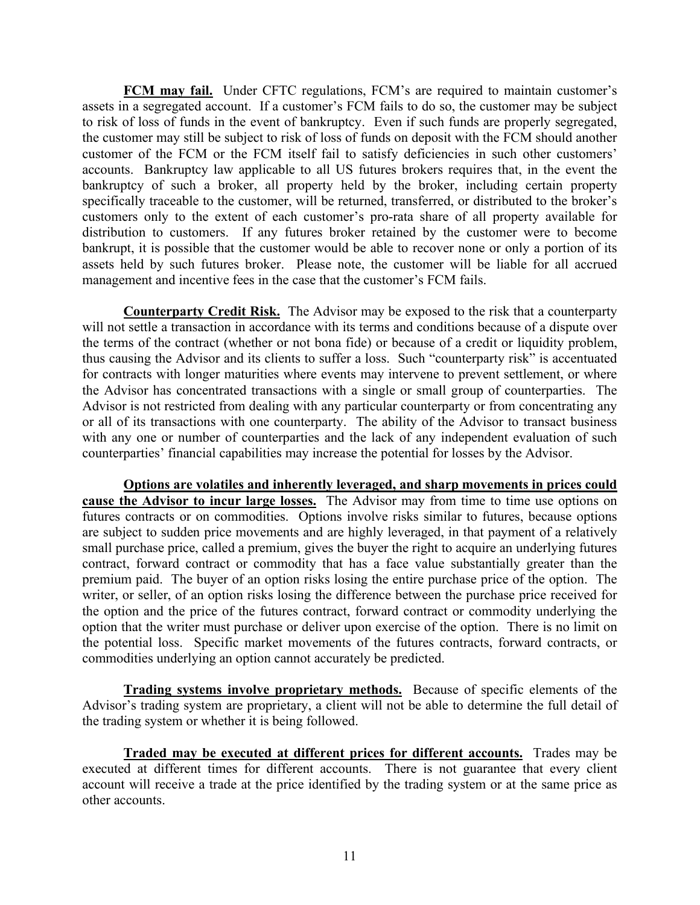**FCM may fail.** Under CFTC regulations, FCM's are required to maintain customer's assets in a segregated account. If a customer's FCM fails to do so, the customer may be subject to risk of loss of funds in the event of bankruptcy. Even if such funds are properly segregated, the customer may still be subject to risk of loss of funds on deposit with the FCM should another customer of the FCM or the FCM itself fail to satisfy deficiencies in such other customers' accounts. Bankruptcy law applicable to all US futures brokers requires that, in the event the bankruptcy of such a broker, all property held by the broker, including certain property specifically traceable to the customer, will be returned, transferred, or distributed to the broker's customers only to the extent of each customer's pro-rata share of all property available for distribution to customers. If any futures broker retained by the customer were to become bankrupt, it is possible that the customer would be able to recover none or only a portion of its assets held by such futures broker. Please note, the customer will be liable for all accrued management and incentive fees in the case that the customer's FCM fails.

**Counterparty Credit Risk.** The Advisor may be exposed to the risk that a counterparty will not settle a transaction in accordance with its terms and conditions because of a dispute over the terms of the contract (whether or not bona fide) or because of a credit or liquidity problem, thus causing the Advisor and its clients to suffer a loss. Such "counterparty risk" is accentuated for contracts with longer maturities where events may intervene to prevent settlement, or where the Advisor has concentrated transactions with a single or small group of counterparties. The Advisor is not restricted from dealing with any particular counterparty or from concentrating any or all of its transactions with one counterparty. The ability of the Advisor to transact business with any one or number of counterparties and the lack of any independent evaluation of such counterparties' financial capabilities may increase the potential for losses by the Advisor.

**Options are volatiles and inherently leveraged, and sharp movements in prices could cause the Advisor to incur large losses.** The Advisor may from time to time use options on futures contracts or on commodities. Options involve risks similar to futures, because options are subject to sudden price movements and are highly leveraged, in that payment of a relatively small purchase price, called a premium, gives the buyer the right to acquire an underlying futures contract, forward contract or commodity that has a face value substantially greater than the premium paid. The buyer of an option risks losing the entire purchase price of the option. The writer, or seller, of an option risks losing the difference between the purchase price received for the option and the price of the futures contract, forward contract or commodity underlying the option that the writer must purchase or deliver upon exercise of the option. There is no limit on the potential loss. Specific market movements of the futures contracts, forward contracts, or commodities underlying an option cannot accurately be predicted.

**Trading systems involve proprietary methods.** Because of specific elements of the Advisor's trading system are proprietary, a client will not be able to determine the full detail of the trading system or whether it is being followed.

**Traded may be executed at different prices for different accounts.** Trades may be executed at different times for different accounts. There is not guarantee that every client account will receive a trade at the price identified by the trading system or at the same price as other accounts.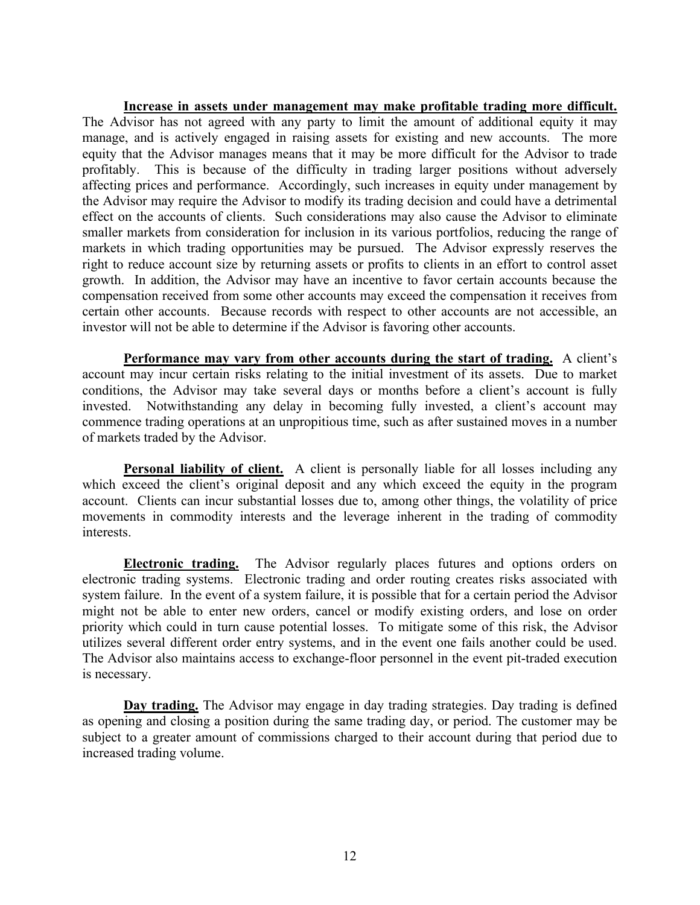**Increase in assets under management may make profitable trading more difficult.** The Advisor has not agreed with any party to limit the amount of additional equity it may manage, and is actively engaged in raising assets for existing and new accounts. The more equity that the Advisor manages means that it may be more difficult for the Advisor to trade profitably. This is because of the difficulty in trading larger positions without adversely affecting prices and performance. Accordingly, such increases in equity under management by the Advisor may require the Advisor to modify its trading decision and could have a detrimental effect on the accounts of clients. Such considerations may also cause the Advisor to eliminate smaller markets from consideration for inclusion in its various portfolios, reducing the range of markets in which trading opportunities may be pursued. The Advisor expressly reserves the right to reduce account size by returning assets or profits to clients in an effort to control asset growth. In addition, the Advisor may have an incentive to favor certain accounts because the compensation received from some other accounts may exceed the compensation it receives from certain other accounts. Because records with respect to other accounts are not accessible, an investor will not be able to determine if the Advisor is favoring other accounts.

**Performance may vary from other accounts during the start of trading.** A client's account may incur certain risks relating to the initial investment of its assets. Due to market conditions, the Advisor may take several days or months before a client's account is fully invested. Notwithstanding any delay in becoming fully invested, a client's account may commence trading operations at an unpropitious time, such as after sustained moves in a number of markets traded by the Advisor.

**Personal liability of client.** A client is personally liable for all losses including any which exceed the client's original deposit and any which exceed the equity in the program account. Clients can incur substantial losses due to, among other things, the volatility of price movements in commodity interests and the leverage inherent in the trading of commodity interests.

**Electronic trading.** The Advisor regularly places futures and options orders on electronic trading systems. Electronic trading and order routing creates risks associated with system failure. In the event of a system failure, it is possible that for a certain period the Advisor might not be able to enter new orders, cancel or modify existing orders, and lose on order priority which could in turn cause potential losses. To mitigate some of this risk, the Advisor utilizes several different order entry systems, and in the event one fails another could be used. The Advisor also maintains access to exchange-floor personnel in the event pit-traded execution is necessary.

**Day trading.** The Advisor may engage in day trading strategies. Day trading is defined as opening and closing a position during the same trading day, or period. The customer may be subject to a greater amount of commissions charged to their account during that period due to increased trading volume.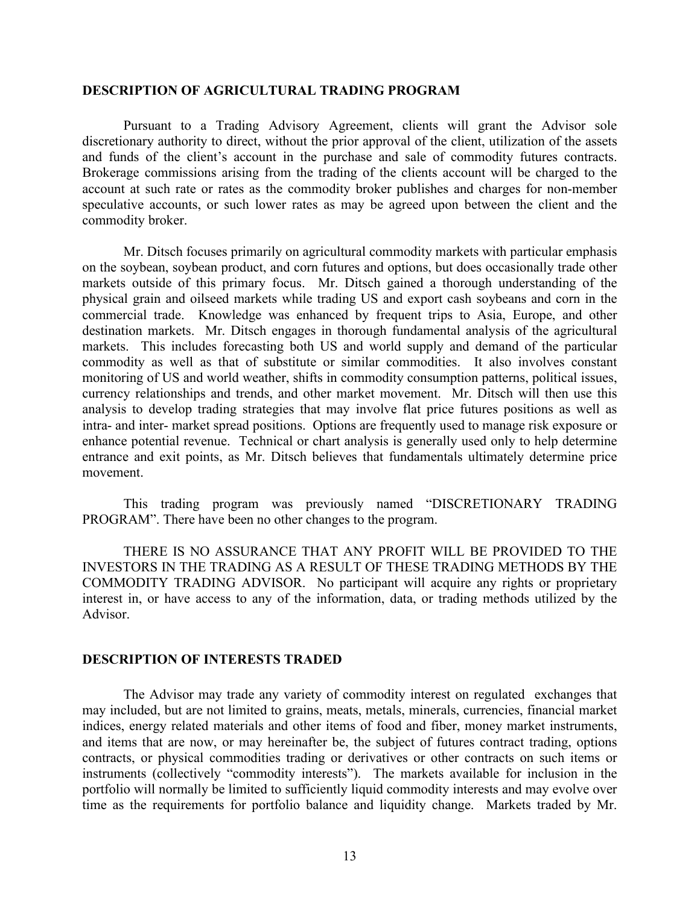#### **DESCRIPTION OF AGRICULTURAL TRADING PROGRAM**

Pursuant to a Trading Advisory Agreement, clients will grant the Advisor sole discretionary authority to direct, without the prior approval of the client, utilization of the assets and funds of the client's account in the purchase and sale of commodity futures contracts. Brokerage commissions arising from the trading of the clients account will be charged to the account at such rate or rates as the commodity broker publishes and charges for non-member speculative accounts, or such lower rates as may be agreed upon between the client and the commodity broker.

Mr. Ditsch focuses primarily on agricultural commodity markets with particular emphasis on the soybean, soybean product, and corn futures and options, but does occasionally trade other markets outside of this primary focus. Mr. Ditsch gained a thorough understanding of the physical grain and oilseed markets while trading US and export cash soybeans and corn in the commercial trade. Knowledge was enhanced by frequent trips to Asia, Europe, and other destination markets. Mr. Ditsch engages in thorough fundamental analysis of the agricultural markets. This includes forecasting both US and world supply and demand of the particular commodity as well as that of substitute or similar commodities. It also involves constant monitoring of US and world weather, shifts in commodity consumption patterns, political issues, currency relationships and trends, and other market movement. Mr. Ditsch will then use this analysis to develop trading strategies that may involve flat price futures positions as well as intra- and inter- market spread positions. Options are frequently used to manage risk exposure or enhance potential revenue. Technical or chart analysis is generally used only to help determine entrance and exit points, as Mr. Ditsch believes that fundamentals ultimately determine price movement.

This trading program was previously named "DISCRETIONARY TRADING PROGRAM". There have been no other changes to the program.

THERE IS NO ASSURANCE THAT ANY PROFIT WILL BE PROVIDED TO THE INVESTORS IN THE TRADING AS A RESULT OF THESE TRADING METHODS BY THE COMMODITY TRADING ADVISOR. No participant will acquire any rights or proprietary interest in, or have access to any of the information, data, or trading methods utilized by the Advisor.

#### **DESCRIPTION OF INTERESTS TRADED**

The Advisor may trade any variety of commodity interest on regulated exchanges that may included, but are not limited to grains, meats, metals, minerals, currencies, financial market indices, energy related materials and other items of food and fiber, money market instruments, and items that are now, or may hereinafter be, the subject of futures contract trading, options contracts, or physical commodities trading or derivatives or other contracts on such items or instruments (collectively "commodity interests"). The markets available for inclusion in the portfolio will normally be limited to sufficiently liquid commodity interests and may evolve over time as the requirements for portfolio balance and liquidity change. Markets traded by Mr.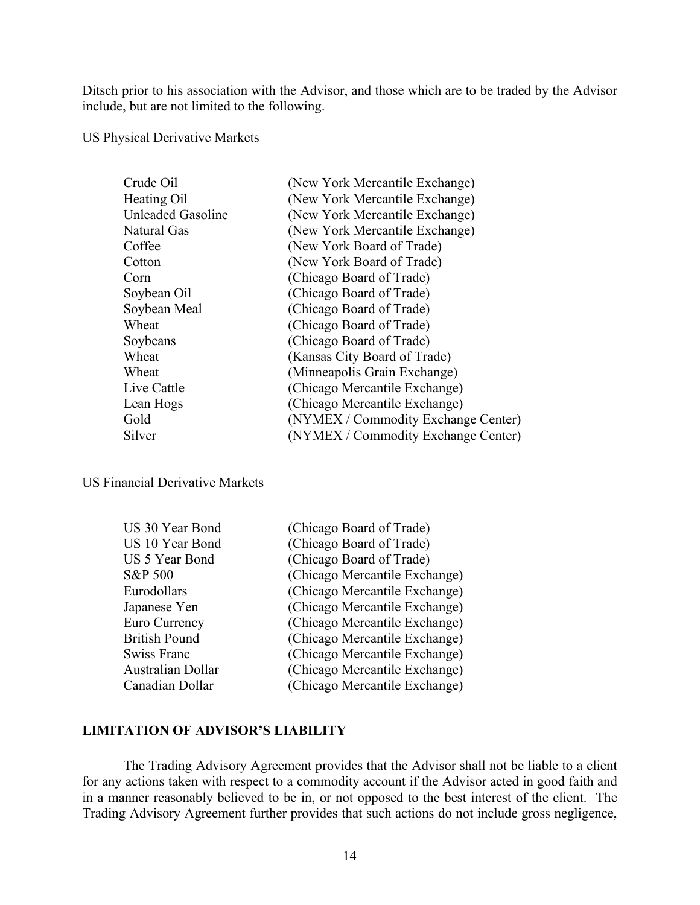Ditsch prior to his association with the Advisor, and those which are to be traded by the Advisor include, but are not limited to the following.

US Physical Derivative Markets

| Crude Oil         | (New York Mercantile Exchange)      |
|-------------------|-------------------------------------|
| Heating Oil       | (New York Mercantile Exchange)      |
| Unleaded Gasoline | (New York Mercantile Exchange)      |
| Natural Gas       | (New York Mercantile Exchange)      |
| Coffee            | (New York Board of Trade)           |
| Cotton            | (New York Board of Trade)           |
| Corn              | (Chicago Board of Trade)            |
| Soybean Oil       | (Chicago Board of Trade)            |
| Soybean Meal      | (Chicago Board of Trade)            |
| Wheat             | (Chicago Board of Trade)            |
| Soybeans          | (Chicago Board of Trade)            |
| Wheat             | (Kansas City Board of Trade)        |
| Wheat             | (Minneapolis Grain Exchange)        |
| Live Cattle       | (Chicago Mercantile Exchange)       |
| Lean Hogs         | (Chicago Mercantile Exchange)       |
| Gold              | (NYMEX / Commodity Exchange Center) |
| Silver            | (NYMEX / Commodity Exchange Center) |

US Financial Derivative Markets

| US 30 Year Bond      | (Chicago Board of Trade)      |
|----------------------|-------------------------------|
| US 10 Year Bond      | (Chicago Board of Trade)      |
| US 5 Year Bond       | (Chicago Board of Trade)      |
| S&P 500              | (Chicago Mercantile Exchange) |
| Eurodollars          | (Chicago Mercantile Exchange) |
| Japanese Yen         | (Chicago Mercantile Exchange) |
| Euro Currency        | (Chicago Mercantile Exchange) |
| <b>British Pound</b> | (Chicago Mercantile Exchange) |
| Swiss Franc          | (Chicago Mercantile Exchange) |
| Australian Dollar    | (Chicago Mercantile Exchange) |
| Canadian Dollar      | (Chicago Mercantile Exchange) |

## **LIMITATION OF ADVISOR'S LIABILITY**

The Trading Advisory Agreement provides that the Advisor shall not be liable to a client for any actions taken with respect to a commodity account if the Advisor acted in good faith and in a manner reasonably believed to be in, or not opposed to the best interest of the client. The Trading Advisory Agreement further provides that such actions do not include gross negligence,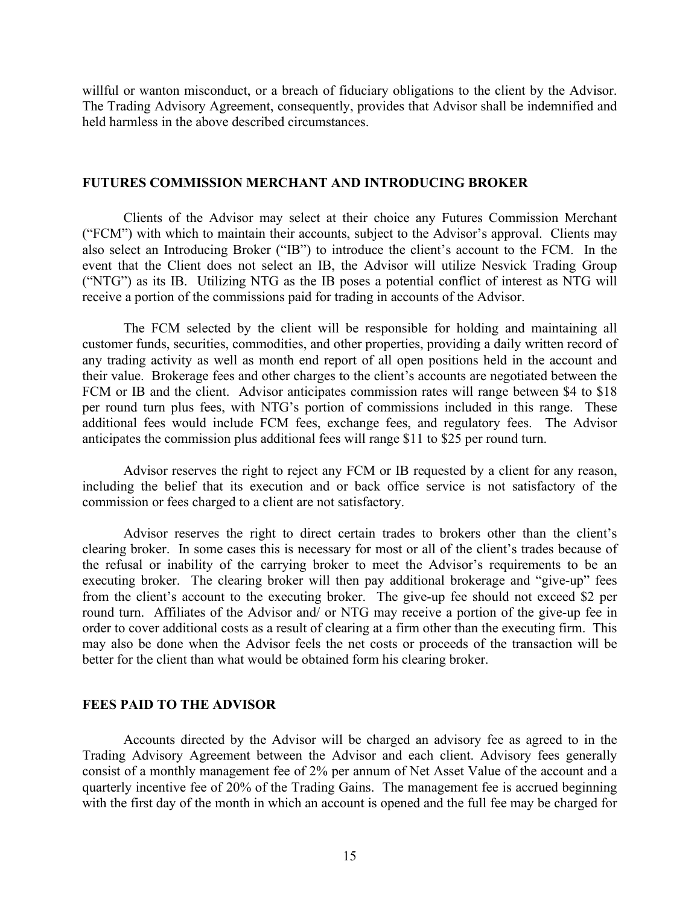willful or wanton misconduct, or a breach of fiduciary obligations to the client by the Advisor. The Trading Advisory Agreement, consequently, provides that Advisor shall be indemnified and held harmless in the above described circumstances.

#### **FUTURES COMMISSION MERCHANT AND INTRODUCING BROKER**

Clients of the Advisor may select at their choice any Futures Commission Merchant ("FCM") with which to maintain their accounts, subject to the Advisor's approval. Clients may also select an Introducing Broker ("IB") to introduce the client's account to the FCM. In the event that the Client does not select an IB, the Advisor will utilize Nesvick Trading Group ("NTG") as its IB. Utilizing NTG as the IB poses a potential conflict of interest as NTG will receive a portion of the commissions paid for trading in accounts of the Advisor.

The FCM selected by the client will be responsible for holding and maintaining all customer funds, securities, commodities, and other properties, providing a daily written record of any trading activity as well as month end report of all open positions held in the account and their value. Brokerage fees and other charges to the client's accounts are negotiated between the FCM or IB and the client. Advisor anticipates commission rates will range between \$4 to \$18 per round turn plus fees, with NTG's portion of commissions included in this range. These additional fees would include FCM fees, exchange fees, and regulatory fees. The Advisor anticipates the commission plus additional fees will range \$11 to \$25 per round turn.

Advisor reserves the right to reject any FCM or IB requested by a client for any reason, including the belief that its execution and or back office service is not satisfactory of the commission or fees charged to a client are not satisfactory.

Advisor reserves the right to direct certain trades to brokers other than the client's clearing broker. In some cases this is necessary for most or all of the client's trades because of the refusal or inability of the carrying broker to meet the Advisor's requirements to be an executing broker. The clearing broker will then pay additional brokerage and "give-up" fees from the client's account to the executing broker. The give-up fee should not exceed \$2 per round turn. Affiliates of the Advisor and/ or NTG may receive a portion of the give-up fee in order to cover additional costs as a result of clearing at a firm other than the executing firm. This may also be done when the Advisor feels the net costs or proceeds of the transaction will be better for the client than what would be obtained form his clearing broker.

### **FEES PAID TO THE ADVISOR**

Accounts directed by the Advisor will be charged an advisory fee as agreed to in the Trading Advisory Agreement between the Advisor and each client. Advisory fees generally consist of a monthly management fee of 2% per annum of Net Asset Value of the account and a quarterly incentive fee of 20% of the Trading Gains. The management fee is accrued beginning with the first day of the month in which an account is opened and the full fee may be charged for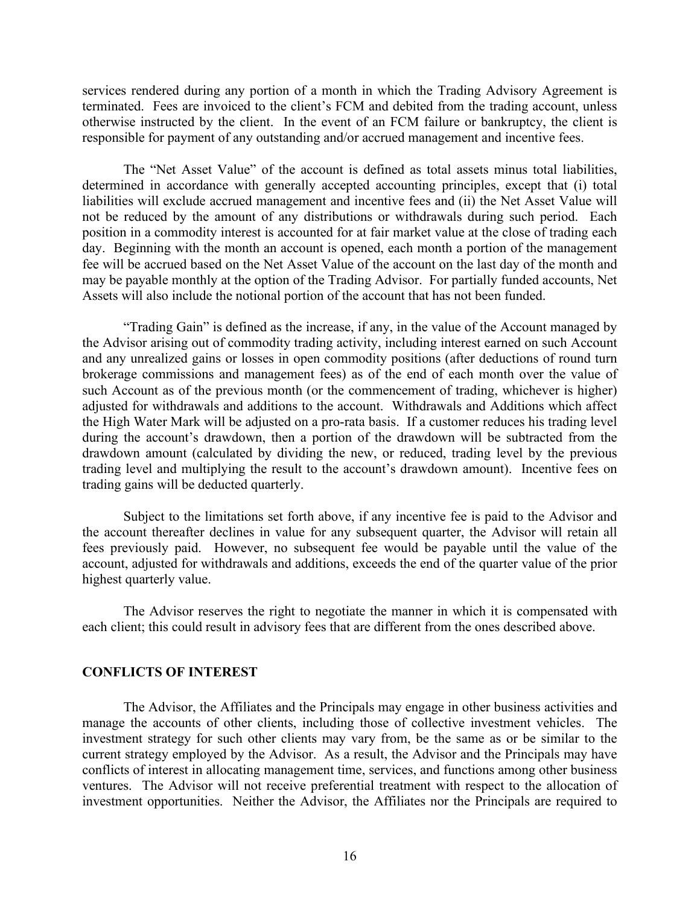services rendered during any portion of a month in which the Trading Advisory Agreement is terminated. Fees are invoiced to the client's FCM and debited from the trading account, unless otherwise instructed by the client. In the event of an FCM failure or bankruptcy, the client is responsible for payment of any outstanding and/or accrued management and incentive fees.

The "Net Asset Value" of the account is defined as total assets minus total liabilities, determined in accordance with generally accepted accounting principles, except that (i) total liabilities will exclude accrued management and incentive fees and (ii) the Net Asset Value will not be reduced by the amount of any distributions or withdrawals during such period. Each position in a commodity interest is accounted for at fair market value at the close of trading each day. Beginning with the month an account is opened, each month a portion of the management fee will be accrued based on the Net Asset Value of the account on the last day of the month and may be payable monthly at the option of the Trading Advisor. For partially funded accounts, Net Assets will also include the notional portion of the account that has not been funded.

"Trading Gain" is defined as the increase, if any, in the value of the Account managed by the Advisor arising out of commodity trading activity, including interest earned on such Account and any unrealized gains or losses in open commodity positions (after deductions of round turn brokerage commissions and management fees) as of the end of each month over the value of such Account as of the previous month (or the commencement of trading, whichever is higher) adjusted for withdrawals and additions to the account. Withdrawals and Additions which affect the High Water Mark will be adjusted on a pro-rata basis. If a customer reduces his trading level during the account's drawdown, then a portion of the drawdown will be subtracted from the drawdown amount (calculated by dividing the new, or reduced, trading level by the previous trading level and multiplying the result to the account's drawdown amount). Incentive fees on trading gains will be deducted quarterly.

Subject to the limitations set forth above, if any incentive fee is paid to the Advisor and the account thereafter declines in value for any subsequent quarter, the Advisor will retain all fees previously paid. However, no subsequent fee would be payable until the value of the account, adjusted for withdrawals and additions, exceeds the end of the quarter value of the prior highest quarterly value.

The Advisor reserves the right to negotiate the manner in which it is compensated with each client; this could result in advisory fees that are different from the ones described above.

#### **CONFLICTS OF INTEREST**

The Advisor, the Affiliates and the Principals may engage in other business activities and manage the accounts of other clients, including those of collective investment vehicles. The investment strategy for such other clients may vary from, be the same as or be similar to the current strategy employed by the Advisor. As a result, the Advisor and the Principals may have conflicts of interest in allocating management time, services, and functions among other business ventures. The Advisor will not receive preferential treatment with respect to the allocation of investment opportunities. Neither the Advisor, the Affiliates nor the Principals are required to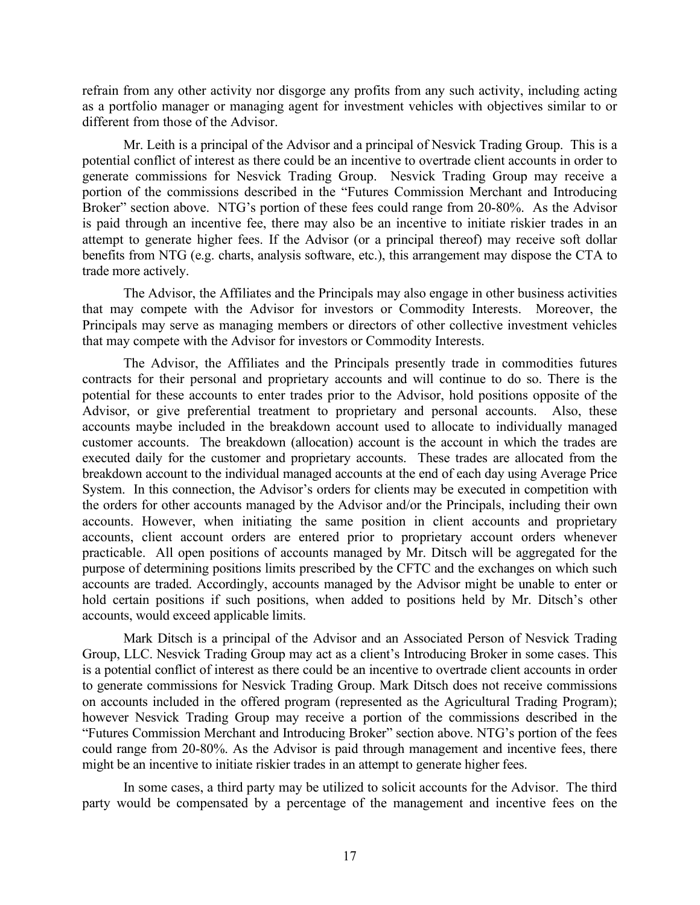refrain from any other activity nor disgorge any profits from any such activity, including acting as a portfolio manager or managing agent for investment vehicles with objectives similar to or different from those of the Advisor.

Mr. Leith is a principal of the Advisor and a principal of Nesvick Trading Group. This is a potential conflict of interest as there could be an incentive to overtrade client accounts in order to generate commissions for Nesvick Trading Group. Nesvick Trading Group may receive a portion of the commissions described in the "Futures Commission Merchant and Introducing Broker" section above. NTG's portion of these fees could range from 20-80%. As the Advisor is paid through an incentive fee, there may also be an incentive to initiate riskier trades in an attempt to generate higher fees. If the Advisor (or a principal thereof) may receive soft dollar benefits from NTG (e.g. charts, analysis software, etc.), this arrangement may dispose the CTA to trade more actively.

The Advisor, the Affiliates and the Principals may also engage in other business activities that may compete with the Advisor for investors or Commodity Interests. Moreover, the Principals may serve as managing members or directors of other collective investment vehicles that may compete with the Advisor for investors or Commodity Interests.

The Advisor, the Affiliates and the Principals presently trade in commodities futures contracts for their personal and proprietary accounts and will continue to do so. There is the potential for these accounts to enter trades prior to the Advisor, hold positions opposite of the Advisor, or give preferential treatment to proprietary and personal accounts. Also, these accounts maybe included in the breakdown account used to allocate to individually managed customer accounts. The breakdown (allocation) account is the account in which the trades are executed daily for the customer and proprietary accounts. These trades are allocated from the breakdown account to the individual managed accounts at the end of each day using Average Price System. In this connection, the Advisor's orders for clients may be executed in competition with the orders for other accounts managed by the Advisor and/or the Principals, including their own accounts. However, when initiating the same position in client accounts and proprietary accounts, client account orders are entered prior to proprietary account orders whenever practicable. All open positions of accounts managed by Mr. Ditsch will be aggregated for the purpose of determining positions limits prescribed by the CFTC and the exchanges on which such accounts are traded. Accordingly, accounts managed by the Advisor might be unable to enter or hold certain positions if such positions, when added to positions held by Mr. Ditsch's other accounts, would exceed applicable limits.

Mark Ditsch is a principal of the Advisor and an Associated Person of Nesvick Trading Group, LLC. Nesvick Trading Group may act as a client's Introducing Broker in some cases. This is a potential conflict of interest as there could be an incentive to overtrade client accounts in order to generate commissions for Nesvick Trading Group. Mark Ditsch does not receive commissions on accounts included in the offered program (represented as the Agricultural Trading Program); however Nesvick Trading Group may receive a portion of the commissions described in the "Futures Commission Merchant and Introducing Broker" section above. NTG's portion of the fees could range from 20-80%. As the Advisor is paid through management and incentive fees, there might be an incentive to initiate riskier trades in an attempt to generate higher fees.

In some cases, a third party may be utilized to solicit accounts for the Advisor. The third party would be compensated by a percentage of the management and incentive fees on the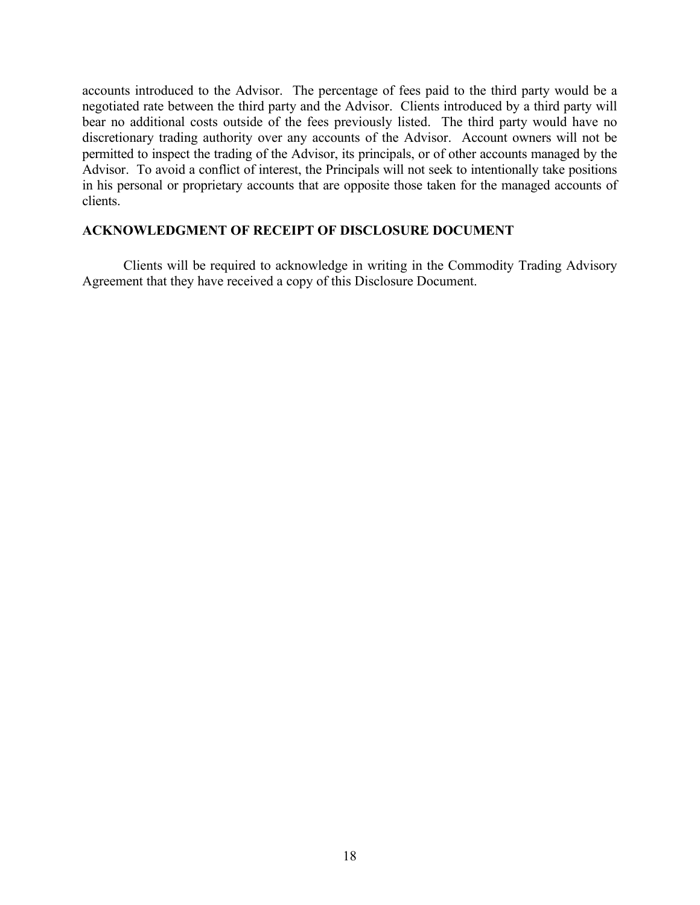accounts introduced to the Advisor. The percentage of fees paid to the third party would be a negotiated rate between the third party and the Advisor. Clients introduced by a third party will bear no additional costs outside of the fees previously listed. The third party would have no discretionary trading authority over any accounts of the Advisor. Account owners will not be permitted to inspect the trading of the Advisor, its principals, or of other accounts managed by the Advisor. To avoid a conflict of interest, the Principals will not seek to intentionally take positions in his personal or proprietary accounts that are opposite those taken for the managed accounts of clients.

### **ACKNOWLEDGMENT OF RECEIPT OF DISCLOSURE DOCUMENT**

Clients will be required to acknowledge in writing in the Commodity Trading Advisory Agreement that they have received a copy of this Disclosure Document.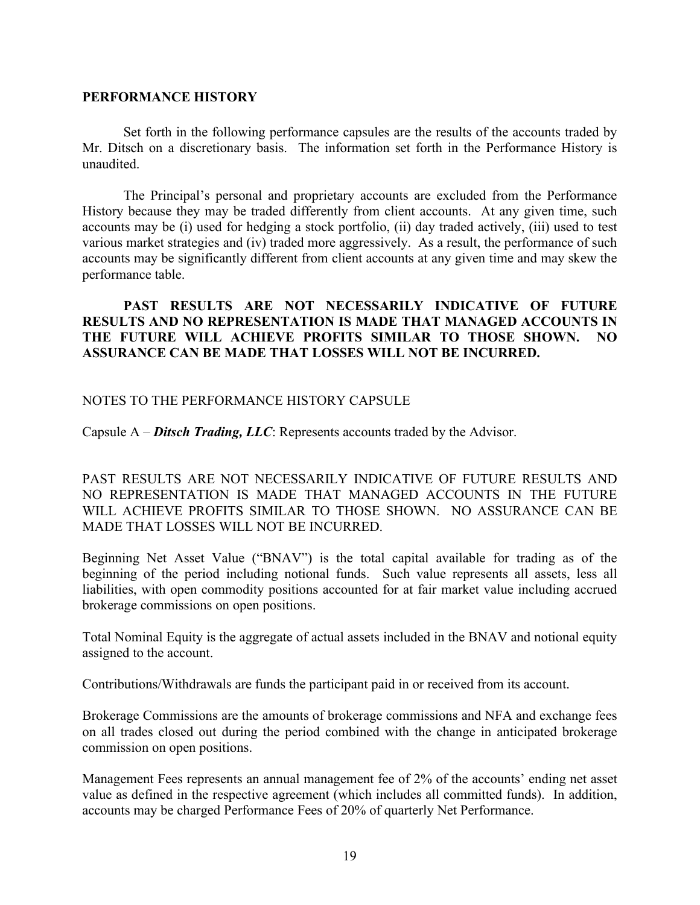## **PERFORMANCE HISTORY**

Set forth in the following performance capsules are the results of the accounts traded by Mr. Ditsch on a discretionary basis. The information set forth in the Performance History is unaudited.

The Principal's personal and proprietary accounts are excluded from the Performance History because they may be traded differently from client accounts. At any given time, such accounts may be (i) used for hedging a stock portfolio, (ii) day traded actively, (iii) used to test various market strategies and (iv) traded more aggressively. As a result, the performance of such accounts may be significantly different from client accounts at any given time and may skew the performance table.

## **PAST RESULTS ARE NOT NECESSARILY INDICATIVE OF FUTURE RESULTS AND NO REPRESENTATION IS MADE THAT MANAGED ACCOUNTS IN THE FUTURE WILL ACHIEVE PROFITS SIMILAR TO THOSE SHOWN. NO ASSURANCE CAN BE MADE THAT LOSSES WILL NOT BE INCURRED.**

## NOTES TO THE PERFORMANCE HISTORY CAPSULE

Capsule A – *Ditsch Trading, LLC*: Represents accounts traded by the Advisor.

PAST RESULTS ARE NOT NECESSARILY INDICATIVE OF FUTURE RESULTS AND NO REPRESENTATION IS MADE THAT MANAGED ACCOUNTS IN THE FUTURE WILL ACHIEVE PROFITS SIMILAR TO THOSE SHOWN. NO ASSURANCE CAN BE MADE THAT LOSSES WILL NOT BE INCURRED.

Beginning Net Asset Value ("BNAV") is the total capital available for trading as of the beginning of the period including notional funds. Such value represents all assets, less all liabilities, with open commodity positions accounted for at fair market value including accrued brokerage commissions on open positions.

Total Nominal Equity is the aggregate of actual assets included in the BNAV and notional equity assigned to the account.

Contributions/Withdrawals are funds the participant paid in or received from its account.

Brokerage Commissions are the amounts of brokerage commissions and NFA and exchange fees on all trades closed out during the period combined with the change in anticipated brokerage commission on open positions.

Management Fees represents an annual management fee of 2% of the accounts' ending net asset value as defined in the respective agreement (which includes all committed funds). In addition, accounts may be charged Performance Fees of 20% of quarterly Net Performance.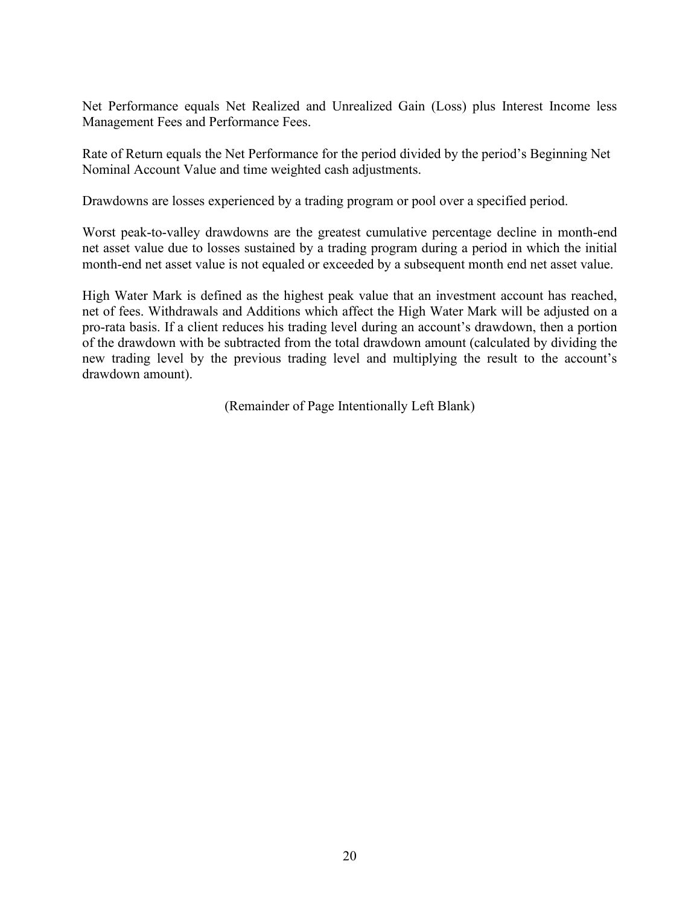Net Performance equals Net Realized and Unrealized Gain (Loss) plus Interest Income less Management Fees and Performance Fees.

Rate of Return equals the Net Performance for the period divided by the period's Beginning Net Nominal Account Value and time weighted cash adjustments.

Drawdowns are losses experienced by a trading program or pool over a specified period.

Worst peak-to-valley drawdowns are the greatest cumulative percentage decline in month-end net asset value due to losses sustained by a trading program during a period in which the initial month-end net asset value is not equaled or exceeded by a subsequent month end net asset value.

High Water Mark is defined as the highest peak value that an investment account has reached, net of fees. Withdrawals and Additions which affect the High Water Mark will be adjusted on a pro-rata basis. If a client reduces his trading level during an account's drawdown, then a portion of the drawdown with be subtracted from the total drawdown amount (calculated by dividing the new trading level by the previous trading level and multiplying the result to the account's drawdown amount).

(Remainder of Page Intentionally Left Blank)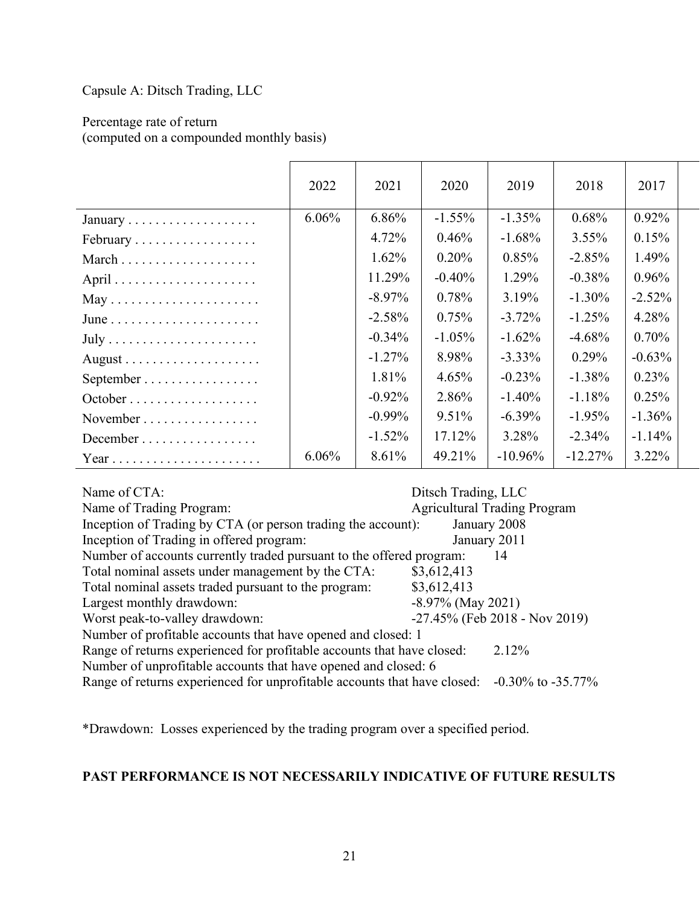Capsule A: Ditsch Trading, LLC

Percentage rate of return (computed on a compounded monthly basis)

|                                                 | 2022     | 2021      | 2020      | 2019      | 2018      | 2017     |  |
|-------------------------------------------------|----------|-----------|-----------|-----------|-----------|----------|--|
|                                                 | $6.06\%$ | 6.86%     | $-1.55\%$ | $-1.35\%$ | 0.68%     | $0.92\%$ |  |
| February                                        |          | 4.72%     | $0.46\%$  | $-1.68\%$ | $3.55\%$  | 0.15%    |  |
|                                                 |          | $1.62\%$  | 0.20%     | 0.85%     | $-2.85%$  | 1.49%    |  |
|                                                 |          | 11.29%    | $-0.40%$  | $1.29\%$  | $-0.38%$  | $0.96\%$ |  |
| $May \ldots \ldots \ldots \ldots \ldots \ldots$ |          | $-8.97\%$ | 0.78%     | 3.19%     | $-1.30\%$ | $-2.52%$ |  |
|                                                 |          | $-2.58\%$ | 0.75%     | $-3.72\%$ | $-1.25%$  | 4.28%    |  |
|                                                 |          | $-0.34\%$ | $-1.05\%$ | $-1.62\%$ | $-4.68%$  | $0.70\%$ |  |
|                                                 |          | $-1.27\%$ | 8.98%     | $-3.33\%$ | $0.29\%$  | $-0.63%$ |  |
| September                                       |          | 1.81%     | $4.65\%$  | $-0.23\%$ | $-1.38\%$ | 0.23%    |  |
|                                                 |          | $-0.92\%$ | 2.86%     | $-1.40\%$ | $-1.18%$  | 0.25%    |  |
| November                                        |          | $-0.99\%$ | $9.51\%$  | $-6.39\%$ | $-1.95\%$ | $-1.36%$ |  |
| December                                        |          | $-1.52%$  | 17.12%    | 3.28%     | $-2.34%$  | $-1.14%$ |  |
| Year                                            | 6.06%    | 8.61%     | 49.21%    | $-10.96%$ | $-12.27%$ | $3.22\%$ |  |

Name of CTA: Ditsch Trading, LLC Name of Trading Program:  $\frac{1}{2}$  Agricultural Trading Program Inception of Trading by CTA (or person trading the account): January 2008 Inception of Trading in offered program: January 2011 Number of accounts currently traded pursuant to the offered program: 14 Total nominal assets under management by the CTA: \$3,612,413 Total nominal assets traded pursuant to the program: \$3,612,413 Largest monthly drawdown:  $-8.97\%$  (May 2021) Worst peak-to-valley drawdown:  $-27.45\%$  (Feb 2018 - Nov 2019) Number of profitable accounts that have opened and closed: 1 Range of returns experienced for profitable accounts that have closed: 2.12% Number of unprofitable accounts that have opened and closed: 6 Range of returns experienced for unprofitable accounts that have closed: -0.30% to -35.77%

\*Drawdown: Losses experienced by the trading program over a specified period.

## **PAST PERFORMANCE IS NOT NECESSARILY INDICATIVE OF FUTURE RESULTS**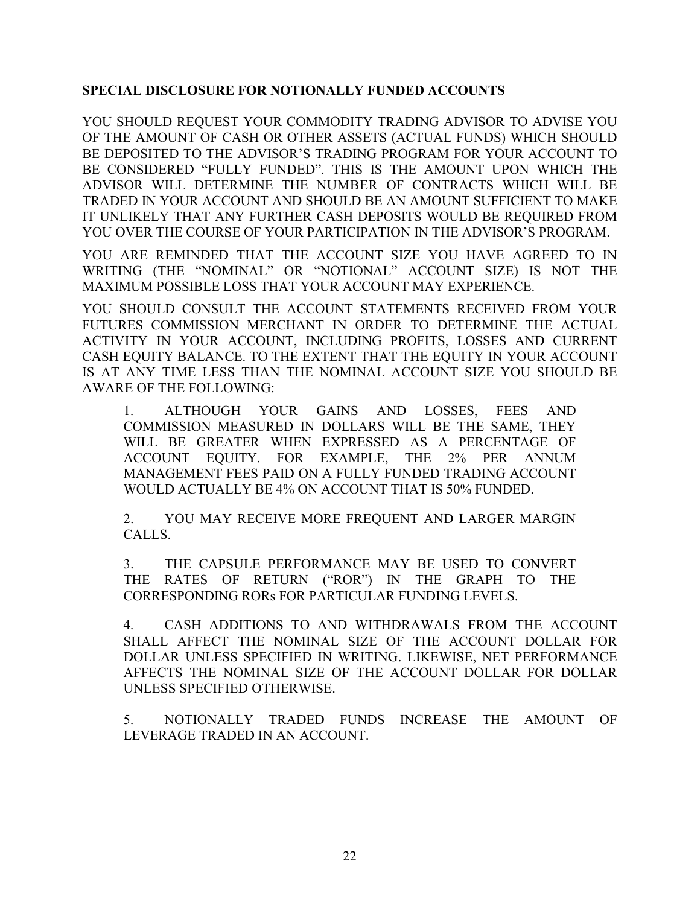## **SPECIAL DISCLOSURE FOR NOTIONALLY FUNDED ACCOUNTS**

YOU SHOULD REQUEST YOUR COMMODITY TRADING ADVISOR TO ADVISE YOU OF THE AMOUNT OF CASH OR OTHER ASSETS (ACTUAL FUNDS) WHICH SHOULD BE DEPOSITED TO THE ADVISOR'S TRADING PROGRAM FOR YOUR ACCOUNT TO BE CONSIDERED "FULLY FUNDED". THIS IS THE AMOUNT UPON WHICH THE ADVISOR WILL DETERMINE THE NUMBER OF CONTRACTS WHICH WILL BE TRADED IN YOUR ACCOUNT AND SHOULD BE AN AMOUNT SUFFICIENT TO MAKE IT UNLIKELY THAT ANY FURTHER CASH DEPOSITS WOULD BE REQUIRED FROM YOU OVER THE COURSE OF YOUR PARTICIPATION IN THE ADVISOR'S PROGRAM.

YOU ARE REMINDED THAT THE ACCOUNT SIZE YOU HAVE AGREED TO IN WRITING (THE "NOMINAL" OR "NOTIONAL" ACCOUNT SIZE) IS NOT THE MAXIMUM POSSIBLE LOSS THAT YOUR ACCOUNT MAY EXPERIENCE.

YOU SHOULD CONSULT THE ACCOUNT STATEMENTS RECEIVED FROM YOUR FUTURES COMMISSION MERCHANT IN ORDER TO DETERMINE THE ACTUAL ACTIVITY IN YOUR ACCOUNT, INCLUDING PROFITS, LOSSES AND CURRENT CASH EQUITY BALANCE. TO THE EXTENT THAT THE EQUITY IN YOUR ACCOUNT IS AT ANY TIME LESS THAN THE NOMINAL ACCOUNT SIZE YOU SHOULD BE AWARE OF THE FOLLOWING:

1. ALTHOUGH YOUR GAINS AND LOSSES, FEES AND COMMISSION MEASURED IN DOLLARS WILL BE THE SAME, THEY WILL BE GREATER WHEN EXPRESSED AS A PERCENTAGE OF ACCOUNT EQUITY. FOR EXAMPLE, THE 2% PER ANNUM MANAGEMENT FEES PAID ON A FULLY FUNDED TRADING ACCOUNT WOULD ACTUALLY BE 4% ON ACCOUNT THAT IS 50% FUNDED.

2. YOU MAY RECEIVE MORE FREQUENT AND LARGER MARGIN CALLS.

3. THE CAPSULE PERFORMANCE MAY BE USED TO CONVERT THE RATES OF RETURN ("ROR") IN THE GRAPH TO THE CORRESPONDING RORs FOR PARTICULAR FUNDING LEVELS.

4. CASH ADDITIONS TO AND WITHDRAWALS FROM THE ACCOUNT SHALL AFFECT THE NOMINAL SIZE OF THE ACCOUNT DOLLAR FOR DOLLAR UNLESS SPECIFIED IN WRITING. LIKEWISE, NET PERFORMANCE AFFECTS THE NOMINAL SIZE OF THE ACCOUNT DOLLAR FOR DOLLAR UNLESS SPECIFIED OTHERWISE.

5. NOTIONALLY TRADED FUNDS INCREASE THE AMOUNT OF LEVERAGE TRADED IN AN ACCOUNT.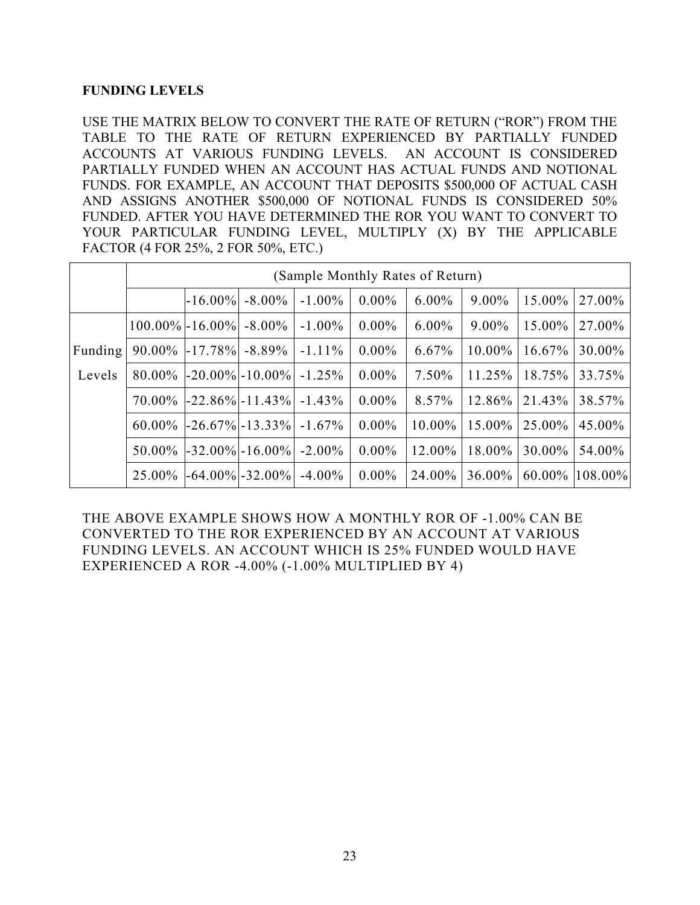## **FUNDING LEVELS**

USE THE MATRIX BELOW TO CONVERT THE RATE OF RETURN ("ROR") FROM THE TABLE TO THE RATE OF RETURN EXPERIENCED BY PARTIALLY FUNDED ACCOUNTS AT VARIOUS FUNDING LEVELS. AN ACCOUNT IS CONSIDERED PARTIALLY FUNDED WHEN AN ACCOUNT HAS ACTUAL FUNDS AND NOTIONAL FUNDS. FOR EXAMPLE, AN ACCOUNT THAT DEPOSITS \$500,000 OF ACTUAL CASH AND ASSIGNS ANOTHER \$500,000 OF NOTIONAL FUNDS IS CONSIDERED 50% FUNDED. AFTER YOU HAVE DETERMINED THE ROR YOU WANT TO CONVERT TO YOUR PARTICULAR FUNDING LEVEL, MULTIPLY (X) BY THE APPLICABLE FACTOR (4 FOR 25%, 2 FOR 50%, ETC.)

|         | (Sample Monthly Rates of Return) |            |                                  |           |          |           |           |                    |         |
|---------|----------------------------------|------------|----------------------------------|-----------|----------|-----------|-----------|--------------------|---------|
|         |                                  | $-16.00\%$ | $-8.00\%$                        | $-1.00\%$ | $0.00\%$ | $6.00\%$  | $9.00\%$  | 15.00%             | 27.00%  |
|         |                                  |            | $100.00\%$ - 16.00% - 8.00%      | $-1.00\%$ | $0.00\%$ | $6.00\%$  | $9.00\%$  | 15.00%             | 27.00%  |
| Funding |                                  |            | $90.00\%$ -17.78% -8.89%         | $-1.11\%$ | $0.00\%$ | 6.67%     | $10.00\%$ | $16.67\%$          | 30.00%  |
| Levels  |                                  |            | $80.00\%$ -20.00% -10.00% -1.25% |           | $0.00\%$ | 7.50%     | $11.25\%$ | 18.75%             | 33.75%  |
|         |                                  |            | $70.00\%$ -22.86% -11.43%        | $-1.43\%$ | $0.00\%$ | 8.57%     |           | $12.86\%$   21.43% | 38.57%  |
|         |                                  |            | $60.00\%$ -26.67% -13.33%        | $-1.67\%$ | $0.00\%$ | $10.00\%$ | $15.00\%$ | 25.00%             | 45.00%  |
|         |                                  |            | $50.00\%$ -32.00% -16.00%        | $-2.00\%$ | $0.00\%$ | 12.00%    | $18.00\%$ | 30.00%             | 54.00%  |
|         |                                  |            | $25.00\%$ -64.00% -32.00%        | $-4.00\%$ | $0.00\%$ | 24.00%    | $36.00\%$ | $60.00\%$          | 108.00% |

THE ABOVE EXAMPLE SHOWS HOW A MONTHLY ROR OF -1.00% CAN BE CONVERTED TO THE ROR EXPERIENCED BY AN ACCOUNT AT VARIOUS FUNDING LEVELS. AN ACCOUNT WHICH IS 25% FUNDED WOULD HAVE EXPERIENCED A ROR -4.00% (-1.00% MULTIPLIED BY 4)